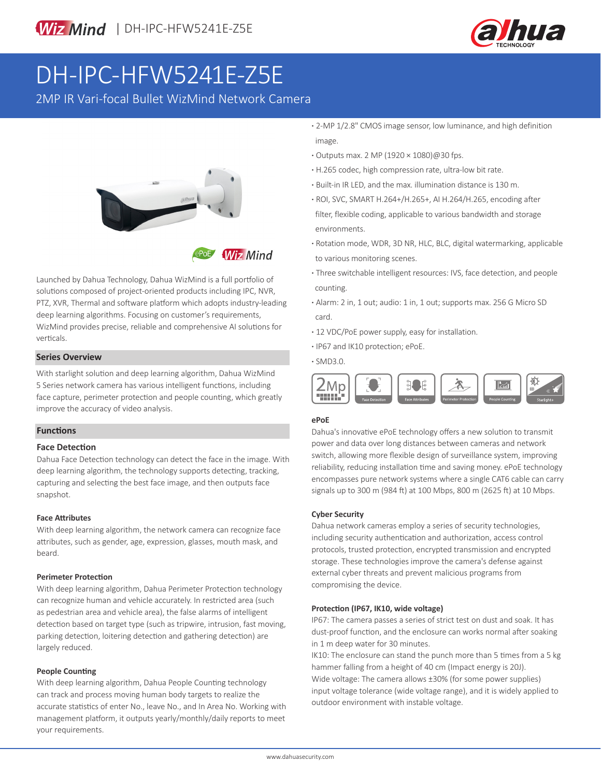

# DH-IPC-HFW5241E-Z5E

2MP IR Vari-focal Bullet WizMind Network Camera



**Wiz Mind** 

Launched by Dahua Technology, Dahua WizMind is a full portfolio of solutions composed of project-oriented products including IPC, NVR, PTZ, XVR, Thermal and software platform which adopts industry-leading deep learning algorithms. Focusing on customer's requirements, WizMind provides precise, reliable and comprehensive AI solutions for verticals.

### **· Series Overview And Series Overview And Series Overview And Series Overview And Series And Series And Series**

With starlight solution and deep learning algorithm, Dahua WizMind 5 Series network camera has various intelligent functions, including face capture, perimeter protection and people counting, which greatly improve the accuracy of video analysis.

#### **Functions**

#### **Face Detection**

Dahua Face Detection technology can detect the face in the image. With deep learning algorithm, the technology supports detecting, tracking, capturing and selecting the best face image, and then outputs face snapshot.

#### **Face Attributes**

With deep learning algorithm, the network camera can recognize face attributes, such as gender, age, expression, glasses, mouth mask, and beard.

#### **Perimeter Protection**

With deep learning algorithm, Dahua Perimeter Protection technology can recognize human and vehicle accurately. In restricted area (such as pedestrian area and vehicle area), the false alarms of intelligent detection based on target type (such as tripwire, intrusion, fast moving, parking detection, loitering detection and gathering detection) are largely reduced.

#### **People Counting**

With deep learning algorithm, Dahua People Counting technology can track and process moving human body targets to realize the accurate statistics of enter No., leave No., and In Area No. Working with management platform, it outputs yearly/monthly/daily reports to meet your requirements.

- **·** 2-MP 1/2.8" CMOS image sensor, low luminance, and high definition image.
- **·** Outputs max. 2 MP (1920 × 1080)@30 fps.
- **·** H.265 codec, high compression rate, ultra-low bit rate.
- **·** Built-in IR LED, and the max. illumination distance is 130 m.
- **·** ROI, SVC, SMART H.264+/H.265+, AI H.264/H.265, encoding after filter, flexible coding, applicable to various bandwidth and storage environments.
- **·** Rotation mode, WDR, 3D NR, HLC, BLC, digital watermarking, applicable to various monitoring scenes.
- **·** Three switchable intelligent resources: IVS, face detection, and people counting.
- **·** Alarm: 2 in, 1 out; audio: 1 in, 1 out; supports max. 256 G Micro SD card.
- **·** 12 VDC/PoE power supply, easy for installation.
- **·** IP67 and IK10 protection; ePoE.
- 



#### **ePoE**

Dahua's innovative ePoE technology offers a new solution to transmit power and data over long distances between cameras and network switch, allowing more flexible design of surveillance system, improving reliability, reducing installation time and saving money. ePoE technology encompasses pure network systems where a single CAT6 cable can carry signals up to 300 m (984 ft) at 100 Mbps, 800 m (2625 ft) at 10 Mbps.

#### **Cyber Security**

Dahua network cameras employ a series of security technologies, including security authentication and authorization, access control protocols, trusted protection, encrypted transmission and encrypted storage. These technologies improve the camera's defense against external cyber threats and prevent malicious programs from compromising the device.

#### **Protection (IP67, IK10, wide voltage)**

IP67: The camera passes a series of strict test on dust and soak. It has dust-proof function, and the enclosure can works normal after soaking in 1 m deep water for 30 minutes.

IK10: The enclosure can stand the punch more than 5 times from a 5 kg hammer falling from a height of 40 cm (Impact energy is 20J). Wide voltage: The camera allows ±30% (for some power supplies) input voltage tolerance (wide voltage range), and it is widely applied to outdoor environment with instable voltage.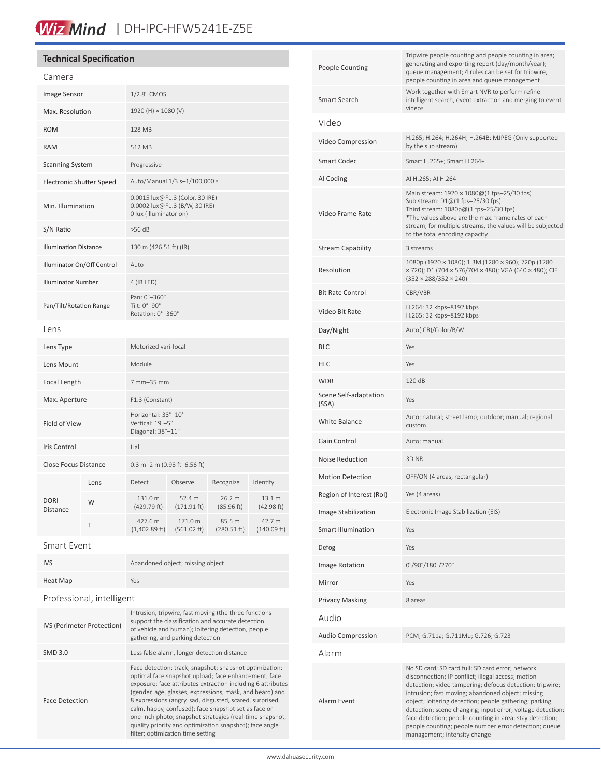# Wiz Mind | DH-IPC-HFW5241E-Z5E

## **Technical Specification**

| Camera                          |      |                                                                                            |                        |                       |                       |
|---------------------------------|------|--------------------------------------------------------------------------------------------|------------------------|-----------------------|-----------------------|
| Image Sensor                    |      | 1/2.8" CMOS                                                                                |                        |                       |                       |
| Max. Resolution                 |      | 1920 (H) × 1080 (V)                                                                        |                        |                       |                       |
| <b>ROM</b>                      |      | 128 MB                                                                                     |                        |                       |                       |
| <b>RAM</b>                      |      | 512 MB                                                                                     |                        |                       |                       |
| <b>Scanning System</b>          |      | Progressive                                                                                |                        |                       |                       |
| <b>Electronic Shutter Speed</b> |      | Auto/Manual 1/3 s-1/100,000 s                                                              |                        |                       |                       |
| Min. Illumination               |      | 0.0015 lux@F1.3 (Color, 30 IRE)<br>0.0002 lux@F1.3 (B/W, 30 IRE)<br>0 lux (Illuminator on) |                        |                       |                       |
| S/N Ratio                       |      | >56 dB                                                                                     |                        |                       |                       |
| <b>Illumination Distance</b>    |      | 130 m (426.51 ft) (IR)                                                                     |                        |                       |                       |
| Illuminator On/Off Control      |      | Auto                                                                                       |                        |                       |                       |
| <b>Illuminator Number</b>       |      | 4 (IR LED)                                                                                 |                        |                       |                       |
| Pan/Tilt/Rotation Range         |      | Pan: 0°-360°<br>Tilt: 0°-90°<br>Rotation: 0°-360°                                          |                        |                       |                       |
| Lens                            |      |                                                                                            |                        |                       |                       |
| Lens Type                       |      | Motorized vari-focal                                                                       |                        |                       |                       |
| Lens Mount                      |      | Module                                                                                     |                        |                       |                       |
| Focal Length                    |      | 7 mm-35 mm                                                                                 |                        |                       |                       |
| Max. Aperture                   |      | F1.3 (Constant)                                                                            |                        |                       |                       |
| Field of View                   |      | Horizontal: 33°-10°<br>Vertical: 19°-5°<br>Diagonal: 38°-11°                               |                        |                       |                       |
| Iris Control                    |      | Hall                                                                                       |                        |                       |                       |
| <b>Close Focus Distance</b>     |      | 0.3 m-2 m (0.98 ft-6.56 ft)                                                                |                        |                       |                       |
| <b>DORI</b><br><b>Distance</b>  | Lens | Detect                                                                                     | Observe                | Recognize             | Identify              |
|                                 | W    | 131.0 m<br>(429.79 ft)                                                                     | 52.4 m<br>(171.91 ft)  | 26.2 m<br>(85.96 ft)  | 13.1 m<br>(42.98 ft)  |
|                                 | T    | 427.6 m<br>$(1,402.89$ ft)                                                                 | 171.0 m<br>(561.02 ft) | 85.5 m<br>(280.51 ft) | 42.7 m<br>(140.09 ft) |
|                                 |      |                                                                                            |                        |                       |                       |

#### Smart Event

| <b>IVS</b>                        | Abandoned object; missing object                                                                                                                                                                                                                                                                                                                                                                                                                                                                                           |  |  |  |
|-----------------------------------|----------------------------------------------------------------------------------------------------------------------------------------------------------------------------------------------------------------------------------------------------------------------------------------------------------------------------------------------------------------------------------------------------------------------------------------------------------------------------------------------------------------------------|--|--|--|
| Heat Map                          | Yes                                                                                                                                                                                                                                                                                                                                                                                                                                                                                                                        |  |  |  |
| Professional, intelligent         |                                                                                                                                                                                                                                                                                                                                                                                                                                                                                                                            |  |  |  |
| <b>IVS (Perimeter Protection)</b> | Intrusion, tripwire, fast moving (the three functions<br>support the classification and accurate detection<br>of vehicle and human); loitering detection, people<br>gathering, and parking detection                                                                                                                                                                                                                                                                                                                       |  |  |  |
| <b>SMD 3.0</b>                    | Less false alarm, longer detection distance                                                                                                                                                                                                                                                                                                                                                                                                                                                                                |  |  |  |
| <b>Face Detection</b>             | Face detection; track; snapshot; snapshot optimization;<br>optimal face snapshot upload; face enhancement; face<br>exposure; face attributes extraction including 6 attributes<br>(gender, age, glasses, expressions, mask, and beard) and<br>8 expressions (angry, sad, disgusted, scared, surprised,<br>calm, happy, confused); face snapshot set as face or<br>one-inch photo; snapshot strategies (real-time snapshot,<br>quality priority and optimization snapshot); face angle<br>filter; optimization time setting |  |  |  |

| <b>People Counting</b>         | Tripwire people counting and people counting in area;<br>generating and exporting report (day/month/year);<br>queue management; 4 rules can be set for tripwire,<br>people counting in area and queue management                                                                                                                                                                                                                                                                                     |  |  |
|--------------------------------|------------------------------------------------------------------------------------------------------------------------------------------------------------------------------------------------------------------------------------------------------------------------------------------------------------------------------------------------------------------------------------------------------------------------------------------------------------------------------------------------------|--|--|
| Smart Search                   | Work together with Smart NVR to perform refine<br>intelligent search, event extraction and merging to event<br><b>zo</b> ghiv                                                                                                                                                                                                                                                                                                                                                                        |  |  |
| Video                          |                                                                                                                                                                                                                                                                                                                                                                                                                                                                                                      |  |  |
| Video Compression              | H.265; H.264; H.264H; H.264B; MJPEG (Only supported<br>by the sub stream)                                                                                                                                                                                                                                                                                                                                                                                                                            |  |  |
| Smart Codec                    | Smart H.265+; Smart H.264+                                                                                                                                                                                                                                                                                                                                                                                                                                                                           |  |  |
| AI Coding                      | AI H.265; AI H.264                                                                                                                                                                                                                                                                                                                                                                                                                                                                                   |  |  |
| Video Frame Rate               | Main stream: 1920 × 1080@(1 fps-25/30 fps)<br>Sub stream: D1@(1 fps-25/30 fps)<br>Third stream: 1080p@(1 fps-25/30 fps)<br>*The values above are the max. frame rates of each<br>stream; for multiple streams, the values will be subjected<br>to the total encoding capacity.                                                                                                                                                                                                                       |  |  |
| <b>Stream Capability</b>       | 3 streams                                                                                                                                                                                                                                                                                                                                                                                                                                                                                            |  |  |
| Resolution                     | 1080p (1920 × 1080); 1.3M (1280 × 960); 720p (1280<br>× 720); D1 (704 × 576/704 × 480); VGA (640 × 480); CIF<br>$(352 \times 288/352 \times 240)$                                                                                                                                                                                                                                                                                                                                                    |  |  |
| <b>Bit Rate Control</b>        | CBR/VBR                                                                                                                                                                                                                                                                                                                                                                                                                                                                                              |  |  |
| Video Bit Rate                 | H.264: 32 kbps-8192 kbps<br>H.265: 32 kbps-8192 kbps                                                                                                                                                                                                                                                                                                                                                                                                                                                 |  |  |
| Day/Night                      | Auto(ICR)/Color/B/W                                                                                                                                                                                                                                                                                                                                                                                                                                                                                  |  |  |
| <b>BLC</b>                     | Yes                                                                                                                                                                                                                                                                                                                                                                                                                                                                                                  |  |  |
| <b>HLC</b>                     | Yes                                                                                                                                                                                                                                                                                                                                                                                                                                                                                                  |  |  |
| <b>WDR</b>                     | 120 dB                                                                                                                                                                                                                                                                                                                                                                                                                                                                                               |  |  |
| Scene Self-adaptation<br>(SSA) | Yes                                                                                                                                                                                                                                                                                                                                                                                                                                                                                                  |  |  |
| <b>White Balance</b>           | Auto; natural; street lamp; outdoor; manual; regional<br>custom                                                                                                                                                                                                                                                                                                                                                                                                                                      |  |  |
| Gain Control                   | Auto; manual                                                                                                                                                                                                                                                                                                                                                                                                                                                                                         |  |  |
| Noise Reduction                | 3D NR                                                                                                                                                                                                                                                                                                                                                                                                                                                                                                |  |  |
| <b>Motion Detection</b>        | OFF/ON (4 areas, rectangular)                                                                                                                                                                                                                                                                                                                                                                                                                                                                        |  |  |
| Region of Interest (RoI)       | Yes (4 areas)                                                                                                                                                                                                                                                                                                                                                                                                                                                                                        |  |  |
| Image Stabilization            | Electronic Image Stabilization (EIS)                                                                                                                                                                                                                                                                                                                                                                                                                                                                 |  |  |
| Smart Illumination             | Yes                                                                                                                                                                                                                                                                                                                                                                                                                                                                                                  |  |  |
| Defog                          | Yes                                                                                                                                                                                                                                                                                                                                                                                                                                                                                                  |  |  |
| Image Rotation                 | 0°/90°/180°/270°                                                                                                                                                                                                                                                                                                                                                                                                                                                                                     |  |  |
| Mirror                         | Yes                                                                                                                                                                                                                                                                                                                                                                                                                                                                                                  |  |  |
| <b>Privacy Masking</b>         | 8 areas                                                                                                                                                                                                                                                                                                                                                                                                                                                                                              |  |  |
| Audio                          |                                                                                                                                                                                                                                                                                                                                                                                                                                                                                                      |  |  |
| <b>Audio Compression</b>       | PCM; G.711a; G.711Mu; G.726; G.723                                                                                                                                                                                                                                                                                                                                                                                                                                                                   |  |  |
| Alarm                          |                                                                                                                                                                                                                                                                                                                                                                                                                                                                                                      |  |  |
| Alarm Event                    | No SD card; SD card full; SD card error; network<br>disconnection; IP conflict; illegal access; motion<br>detection; video tampering; defocus detection; tripwire;<br>intrusion; fast moving; abandoned object; missing<br>object; loitering detection; people gathering; parking<br>detection; scene changing; input error; voltage detection;<br>face detection; people counting in area; stay detection;<br>people counting; people number error detection; queue<br>management; intensity change |  |  |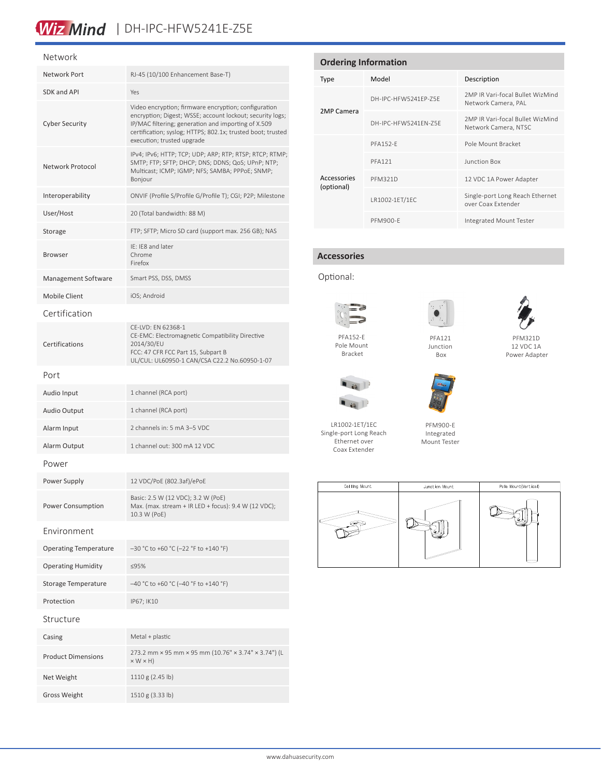# Wiz Mind | DH-IPC-HFW5241E-Z5E

#### Network

| Network Port                 | RJ-45 (10/100 Enhancement Base-T)                                                                                                                                                                                                                                     |  |  |  |  |
|------------------------------|-----------------------------------------------------------------------------------------------------------------------------------------------------------------------------------------------------------------------------------------------------------------------|--|--|--|--|
| SDK and API                  | Yes                                                                                                                                                                                                                                                                   |  |  |  |  |
| <b>Cyber Security</b>        | Video encryption; firmware encryption; configuration<br>encryption; Digest; WSSE; account lockout; security logs;<br>IP/MAC filtering; generation and importing of X.509<br>certification; syslog; HTTPS; 802.1x; trusted boot; trusted<br>execution; trusted upgrade |  |  |  |  |
| Network Protocol             | IPv4; IPv6; HTTP; TCP; UDP; ARP; RTP; RTSP; RTCP; RTMP;<br>SMTP; FTP; SFTP; DHCP; DNS; DDNS; QoS; UPnP; NTP;<br>Multicast; ICMP; IGMP; NFS; SAMBA; PPPoE; SNMP;<br>Bonjour                                                                                            |  |  |  |  |
| Interoperability             | ONVIF (Profile S/Profile G/Profile T); CGI; P2P; Milestone                                                                                                                                                                                                            |  |  |  |  |
| User/Host                    | 20 (Total bandwidth: 88 M)                                                                                                                                                                                                                                            |  |  |  |  |
| Storage                      | FTP; SFTP; Micro SD card (support max. 256 GB); NAS                                                                                                                                                                                                                   |  |  |  |  |
| <b>Browser</b>               | IE: IE8 and later<br>Chrome<br>Firefox                                                                                                                                                                                                                                |  |  |  |  |
| <b>Management Software</b>   | Smart PSS, DSS, DMSS                                                                                                                                                                                                                                                  |  |  |  |  |
| Mobile Client                | iOS; Android                                                                                                                                                                                                                                                          |  |  |  |  |
| Certification                |                                                                                                                                                                                                                                                                       |  |  |  |  |
| Certifications               | CE-LVD: EN 62368-1<br>CE-EMC: Electromagnetic Compatibility Directive<br>2014/30/EU<br>FCC: 47 CFR FCC Part 15, Subpart B<br>UL/CUL: UL60950-1 CAN/CSA C22.2 No.60950-1-07                                                                                            |  |  |  |  |
| Port                         |                                                                                                                                                                                                                                                                       |  |  |  |  |
| Audio Input                  | 1 channel (RCA port)                                                                                                                                                                                                                                                  |  |  |  |  |
| <b>Audio Output</b>          | 1 channel (RCA port)                                                                                                                                                                                                                                                  |  |  |  |  |
| Alarm Input                  | 2 channels in: 5 mA 3-5 VDC                                                                                                                                                                                                                                           |  |  |  |  |
| Alarm Output                 | 1 channel out: 300 mA 12 VDC                                                                                                                                                                                                                                          |  |  |  |  |
| Power                        |                                                                                                                                                                                                                                                                       |  |  |  |  |
| Power Supply                 | 12 VDC/PoE (802.3af)/ePoE                                                                                                                                                                                                                                             |  |  |  |  |
| Power Consumption            | Basic: 2.5 W (12 VDC); 3.2 W (PoE)<br>Max. (max. stream + IR LED + focus): 9.4 W (12 VDC);<br>10.3 W (PoE)                                                                                                                                                            |  |  |  |  |
| Environment                  |                                                                                                                                                                                                                                                                       |  |  |  |  |
| <b>Operating Temperature</b> | -30 °C to +60 °C (-22 °F to +140 °F)                                                                                                                                                                                                                                  |  |  |  |  |
| <b>Operating Humidity</b>    | ≤95%                                                                                                                                                                                                                                                                  |  |  |  |  |
| Storage Temperature          | $-40$ °C to +60 °C (-40 °F to +140 °F)                                                                                                                                                                                                                                |  |  |  |  |
| Protection                   | IP67; IK10                                                                                                                                                                                                                                                            |  |  |  |  |
| Structure                    |                                                                                                                                                                                                                                                                       |  |  |  |  |
| Casing                       | Metal + plastic                                                                                                                                                                                                                                                       |  |  |  |  |
| <b>Product Dimensions</b>    | 273.2 mm × 95 mm × 95 mm (10.76" × 3.74" × 3.74") (L<br>$\times$ W $\times$ H)                                                                                                                                                                                        |  |  |  |  |
| Net Weight                   | 1110 g (2.45 lb)                                                                                                                                                                                                                                                      |  |  |  |  |
| <b>Gross Weight</b>          | 1510 g (3.33 lb)                                                                                                                                                                                                                                                      |  |  |  |  |

| <b>Ordering Information</b> |                      |                                                          |  |  |
|-----------------------------|----------------------|----------------------------------------------------------|--|--|
| <b>Type</b>                 | Model                | Description                                              |  |  |
|                             | DH-IPC-HFW5241FP-75F | 2MP IR Vari-focal Bullet WizMind<br>Network Camera, PAL  |  |  |
| 2MP Camera                  | DH-IPC-HEW5241FN-75F | 2MP IR Vari-focal Bullet WizMind<br>Network Camera, NTSC |  |  |
|                             | <b>PFA152-F</b>      | Pole Mount Bracket                                       |  |  |
|                             | <b>PFA121</b>        | Junction Box                                             |  |  |
| Accessories<br>(optional)   | <b>PFM321D</b>       | 12 VDC 1A Power Adapter                                  |  |  |
|                             | LR1002-1ET/1EC       | Single-port Long Reach Ethernet<br>over Coax Extender    |  |  |
|                             | PFM900-F             | Integrated Mount Tester                                  |  |  |

### **Accessories**

Optional:



Pole Mount Bracket



PFM321D 12 VDC 1A Power Adapter



LR1002-1ET/1EC Single-port Long Reach Ethernet over Coax Extender



Junction Box



PFM900-E Integrated Mount Tester